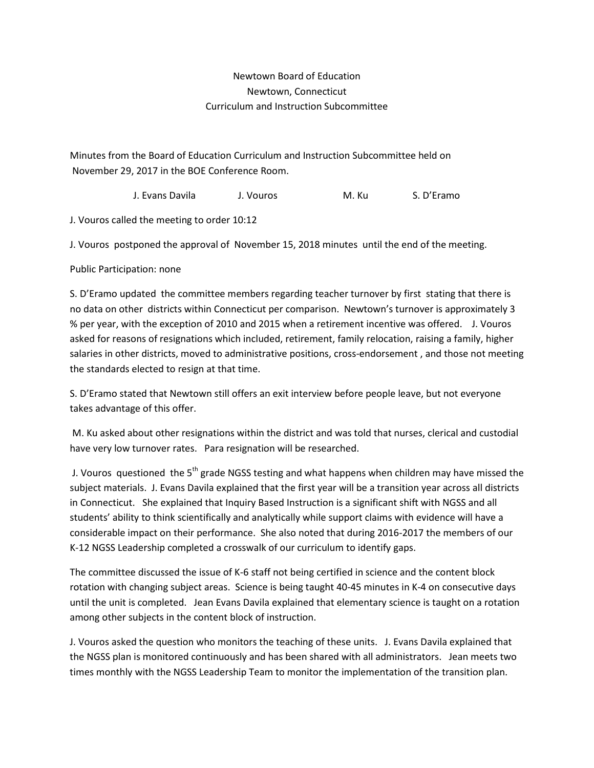## Newtown Board of Education Newtown, Connecticut Curriculum and Instruction Subcommittee

Minutes from the Board of Education Curriculum and Instruction Subcommittee held on November 29, 2017 in the BOE Conference Room.

J. Evans Davila J. Vouros M. Ku S. D'Eramo

J. Vouros called the meeting to order 10:12

J. Vouros postponed the approval of November 15, 2018 minutes until the end of the meeting.

Public Participation: none

S. D'Eramo updated the committee members regarding teacher turnover by first stating that there is no data on other districts within Connecticut per comparison. Newtown's turnover is approximately 3 % per year, with the exception of 2010 and 2015 when a retirement incentive was offered. J. Vouros asked for reasons of resignations which included, retirement, family relocation, raising a family, higher salaries in other districts, moved to administrative positions, cross-endorsement , and those not meeting the standards elected to resign at that time.

S. D'Eramo stated that Newtown still offers an exit interview before people leave, but not everyone takes advantage of this offer.

M. Ku asked about other resignations within the district and was told that nurses, clerical and custodial have very low turnover rates. Para resignation will be researched.

J. Vouros questioned the 5<sup>th</sup> grade NGSS testing and what happens when children may have missed the subject materials. J. Evans Davila explained that the first year will be a transition year across all districts in Connecticut. She explained that Inquiry Based Instruction is a significant shift with NGSS and all students' ability to think scientifically and analytically while support claims with evidence will have a considerable impact on their performance. She also noted that during 2016-2017 the members of our K-12 NGSS Leadership completed a crosswalk of our curriculum to identify gaps.

The committee discussed the issue of K-6 staff not being certified in science and the content block rotation with changing subject areas. Science is being taught 40-45 minutes in K-4 on consecutive days until the unit is completed. Jean Evans Davila explained that elementary science is taught on a rotation among other subjects in the content block of instruction.

J. Vouros asked the question who monitors the teaching of these units. J. Evans Davila explained that the NGSS plan is monitored continuously and has been shared with all administrators. Jean meets two times monthly with the NGSS Leadership Team to monitor the implementation of the transition plan.